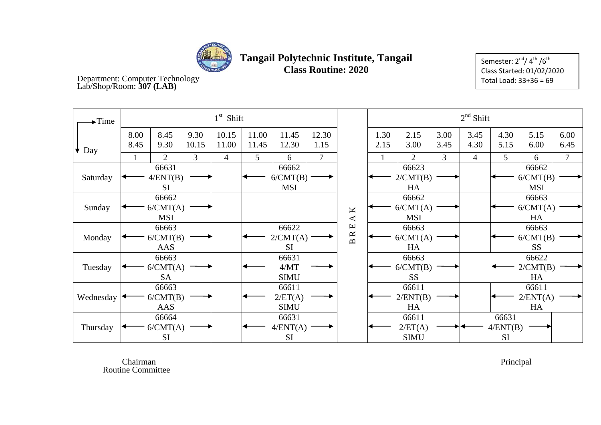

Semester:  $2^{nd} / 4^{th} / 6^{th}$ Class Started: 01/02/2020 Total Load: 33+36 = 69

Department: Computer Technology Lab/Shop/Room: **307 (LAB)**

| $\blacktriangleright$ Time |              |                                 |                | $1st$ Shift    |                                 |                                |               |                                                  | $2nd$ Shift                    |                                 |              |                |                                |                                 |                |  |
|----------------------------|--------------|---------------------------------|----------------|----------------|---------------------------------|--------------------------------|---------------|--------------------------------------------------|--------------------------------|---------------------------------|--------------|----------------|--------------------------------|---------------------------------|----------------|--|
| $\star$ Day                | 8.00<br>8.45 | 8.45<br>9.30                    | 9.30<br>10.15  | 10.15<br>11.00 | 11.00<br>11.45                  | 11.45<br>12.30                 | 12.30<br>1.15 |                                                  | 1.30<br>2.15                   | 2.15<br>3.00                    | 3.00<br>3.45 | 3.45<br>4.30   | 4.30<br>5.15                   | 5.15<br>6.00                    | 6.00<br>6.45   |  |
|                            |              | $\overline{2}$                  | $\overline{3}$ | $\overline{4}$ | 5                               | 6                              | $\tau$        |                                                  |                                | $\overline{2}$                  | 3            | $\overline{4}$ | 5                              | 6                               | $\overline{7}$ |  |
| Saturday                   |              | 66631<br>4/ENT(B)<br><b>SI</b>  |                |                | 66662<br>6/CMT(B)<br><b>MSI</b> |                                |               |                                                  |                                | 66623<br>2/CMT(B)<br>HA         |              |                |                                | 66662<br>6/CMT(B)<br><b>MSI</b> |                |  |
| Sunday                     |              | 66662<br>6/CMT(A)<br><b>MSI</b> |                |                |                                 |                                |               | $\pmb{\times}$<br>$\blacktriangleleft$           |                                | 66662<br>6/CMT(A)<br><b>MSI</b> |              |                | 66663<br>6/CMT(A)<br>HA        |                                 |                |  |
| Monday                     |              | 66663<br>6/CMT(B)<br>AAS        |                |                |                                 | 66622<br>2/CMT(A)<br><b>SI</b> |               | щ<br>$\approx$<br>$\mathbf{\underline{\square}}$ |                                | 66663<br>6/CMT(A)<br>HA         |              |                |                                | 66663<br>6/CMT(B)<br><b>SS</b>  |                |  |
| Tuesday                    |              | 66663<br>6/CMT(A)<br><b>SA</b>  |                |                | 66631<br>4/MT<br><b>SIMU</b>    |                                |               |                                                  | 66663<br>6/CMT(B)<br><b>SS</b> |                                 |              |                | 66622<br>2/CMT(B)<br>HA        |                                 |                |  |
| Wednesday                  |              | 66663<br>6/CMT(B)<br>AAS        |                |                | 66611<br>2/ET(A)<br><b>SIMU</b> |                                |               |                                                  |                                | 66611<br>2/ENT(B)<br>HA         |              |                |                                | 66611<br>2/ENT(A)<br>HA         |                |  |
| Thursday                   |              | 66664<br>6/CMT(A)<br><b>SI</b>  |                |                |                                 | 66631<br>4/ENT(A)<br><b>SI</b> |               |                                                  |                                | 66611<br>2/ET(A)<br><b>SIMU</b> |              |                | 66631<br>4/ENT(B)<br><b>SI</b> |                                 |                |  |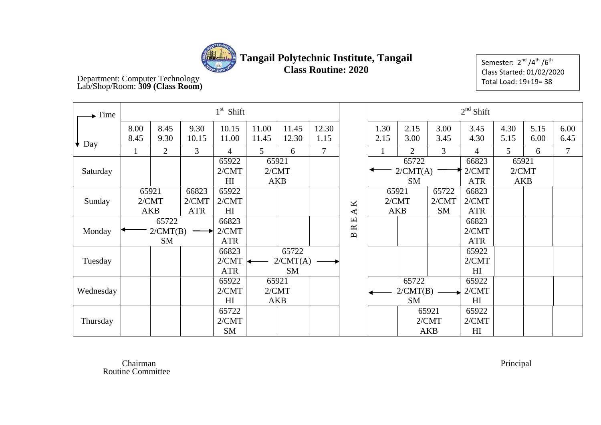

# **Tangail Polytechnic Institute, Tangail**

**Class Routine: 2020**

Semester: 2<sup>nd</sup> /4<sup>th</sup> /6<sup>th</sup> Class Started: 01/02/2020 Total Load: 19+19= 38

Department: Computer Technology Lab/Shop/Room: **309 (Class Room)**

| Time              |              |                              |                              | $1st$ Shift                      |                              |                              |                |                                | $2nd$ Shift                    |                                                                |                              |                                  |                              |              |                |
|-------------------|--------------|------------------------------|------------------------------|----------------------------------|------------------------------|------------------------------|----------------|--------------------------------|--------------------------------|----------------------------------------------------------------|------------------------------|----------------------------------|------------------------------|--------------|----------------|
| $\bigstar$<br>Day | 8.00<br>8.45 | 8.45<br>9.30                 | 9.30<br>10.15                | 10.15<br>11.00                   | 11.00<br>11.45               | 11.45<br>12.30               | 12.30<br>1.15  |                                | 1.30<br>2.15                   | 2.15<br>3.00                                                   | 3.00<br>3.45                 | 3.45<br>4.30                     | 4.30<br>5.15                 | 5.15<br>6.00 | 6.00<br>6.45   |
|                   |              | $\overline{2}$               | $\overline{3}$               | $\overline{4}$                   | 5                            | 6                            | $\overline{7}$ |                                |                                | $\overline{2}$                                                 | $\overline{3}$               | 4                                | 5 <sup>5</sup>               | 6            | $\overline{7}$ |
| Saturday          |              |                              |                              | 65922<br>2/CMT<br>H <sub>I</sub> | 65921<br>2/CMT<br><b>AKB</b> |                              |                |                                |                                | 65722<br>66823<br>2/CMT(A)<br>2/CMT<br><b>SM</b><br><b>ATR</b> |                              |                                  | 65921<br>2/CMT<br><b>AKB</b> |              |                |
| Sunday            |              | 65921<br>2/CMT<br><b>AKB</b> | 66823<br>2/CMT<br><b>ATR</b> | 65922<br>2/CMT<br>H <sub>I</sub> |                              |                              |                | K<br>$\blacktriangleleft$      |                                | 65921<br>2/CMT<br><b>AKB</b>                                   | 65722<br>2/CMT<br>SM         | 66823<br>2/CMT<br><b>ATR</b>     |                              |              |                |
| Monday            |              | 65722<br>2/CMT(B)<br>SM      |                              | 66823<br>2/CMT<br><b>ATR</b>     |                              |                              |                | Щ<br>$\approx$<br>$\mathbf{m}$ |                                |                                                                |                              | 66823<br>2/CMT<br><b>ATR</b>     |                              |              |                |
| Tuesday           |              |                              |                              | 66823<br>2/CMT<br><b>ATR</b>     |                              | 65722<br>2/CMT(A)<br>SM      |                |                                |                                |                                                                |                              | 65922<br>2/CMT<br>H <sub>I</sub> |                              |              |                |
| Wednesday         |              |                              |                              | 65922<br>2/CMT<br>H <sub>I</sub> |                              | 65921<br>2/CMT<br><b>AKB</b> |                |                                | 65722<br>2/CMT(B)<br><b>SM</b> |                                                                |                              | 65922<br>2/CMT<br>H <sub>I</sub> |                              |              |                |
| Thursday          |              |                              |                              | 65722<br>2/CMT<br><b>SM</b>      |                              |                              |                |                                |                                |                                                                | 65921<br>2/CMT<br><b>AKB</b> | 65922<br>2/CMT<br>H <sub>I</sub> |                              |              |                |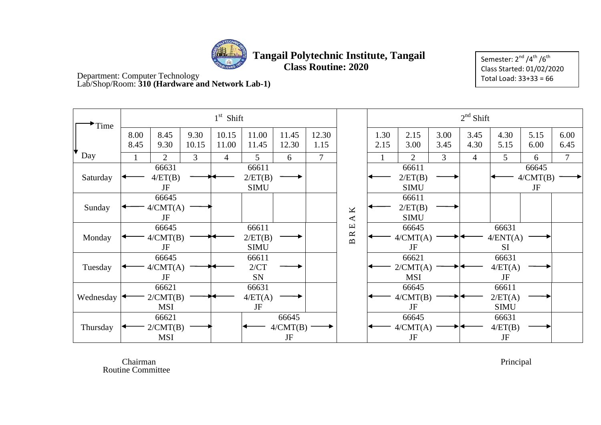

Semester:  $2^{nd}$  /4<sup>th</sup> /6<sup>th</sup> Class Started: 01/02/2020 Total Load: 33+33 = 66

Department: Computer Technology Lab/Shop/Room: **310 (Hardware and Network Lab-1)**

| Time      |              |                                 |                | $1st$ Shift    |                                 |                         |                |                                    |              | $2nd$ Shift                     |                |              |                                 |                                |                |  |
|-----------|--------------|---------------------------------|----------------|----------------|---------------------------------|-------------------------|----------------|------------------------------------|--------------|---------------------------------|----------------|--------------|---------------------------------|--------------------------------|----------------|--|
|           | 8.00<br>8.45 | 8.45<br>9.30                    | 9.30<br>10.15  | 10.15<br>11.00 | 11.00<br>11.45                  | 11.45<br>12.30          | 12.30<br>1.15  |                                    | 1.30<br>2.15 | 2.15<br>3.00                    | 3.00<br>3.45   | 3.45<br>4.30 | 4.30<br>5.15                    | 5.15<br>6.00                   | 6.00<br>6.45   |  |
| Day       |              | $\overline{2}$                  | $\overline{3}$ | $\overline{4}$ | 5                               | 6                       | $\overline{7}$ |                                    |              | $\overline{2}$                  | $\overline{3}$ | 4            | 5                               | 6                              | $\overline{7}$ |  |
| Saturday  |              | 66631<br>4/ET(B)<br>JF          |                |                | 66611<br>2/ET(B)<br><b>SIMU</b> |                         |                |                                    |              | 66611<br>2/ET(B)<br><b>SIMU</b> |                |              |                                 | 66645<br>4/CMT(B)<br>$\rm{JF}$ |                |  |
| Sunday    |              | 66645<br>4/CMT(A)<br>JF         |                |                |                                 |                         |                | K<br>$\blacktriangleleft$          |              | 66611<br>2/ET(B)<br><b>SIMU</b> |                |              |                                 |                                |                |  |
| Monday    |              | 66645<br>4/CMT(B)<br>JF         |                |                | 66611<br>2/ET(B)<br><b>SIMU</b> |                         |                | $\Xi$<br>$\approx$<br>$\mathbf{m}$ |              | 66645<br>4/CMT(A)<br>JF         |                |              | 66631<br>4/ENT(A)<br><b>SI</b>  |                                |                |  |
| Tuesday   |              | 66645<br>4/CMT(A)<br>JF         |                |                | 66611<br>2/CT<br>SN             |                         |                |                                    |              | 66621<br>2/CMT(A)<br><b>MSI</b> |                |              | 66631<br>4/ET(A)<br><b>JF</b>   |                                |                |  |
| Wednesday |              | 66621<br>2/CMT(B)<br><b>MSI</b> |                |                | 66631<br>4/ET(A)<br>JF          |                         |                |                                    |              | 66645<br>4/CMT(B)<br>JF         |                |              | 66611<br>2/ET(A)<br><b>SIMU</b> |                                |                |  |
| Thursday  |              | 66621<br>2/CMT(B)<br><b>MSI</b> |                |                |                                 | 66645<br>4/CMT(B)<br>JF |                |                                    |              | 66645<br>4/CMT(A)<br>$\rm{JF}$  |                |              | 66631<br>4/ET(B)<br>$\rm{JF}$   |                                |                |  |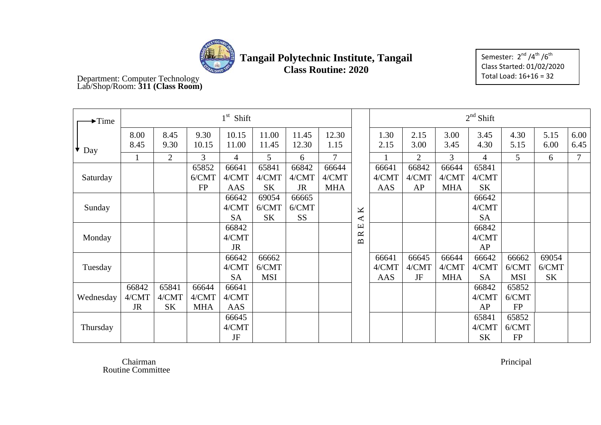

Semester: 2<sup>nd</sup> /4<sup>th</sup> /6<sup>th</sup> Class Started: 01/02/2020 Total Load: 16+16 = 32

#### Department: Computer Technology Lab/Shop/Room: **311 (Class Room)**

| $\blacktriangleright$ Time |                             |                      |                              | $1st$ Shift                 |                              |                             |                              |                                |                       |                      |                              | $2nd$ Shift                 |                              |                             |                |
|----------------------------|-----------------------------|----------------------|------------------------------|-----------------------------|------------------------------|-----------------------------|------------------------------|--------------------------------|-----------------------|----------------------|------------------------------|-----------------------------|------------------------------|-----------------------------|----------------|
| $\bullet$ Day              | 8.00<br>8.45                | 8.45<br>9.30         | 9.30<br>10.15                | 10.15<br>11.00              | 11.00<br>11.45               | 11.45<br>12.30              | 12.30<br>1.15                |                                | 1.30<br>2.15          | 2.15<br>3.00         | 3.00<br>3.45                 | 3.45<br>4.30                | 4.30<br>5.15                 | 5.15<br>6.00                | 6.00<br>6.45   |
|                            | 1                           | $\overline{2}$       | 3                            | $\overline{4}$              | 5                            | 6                           | $\tau$                       |                                |                       | $\overline{2}$       | 3                            | $\overline{4}$              | 5                            | 6                           | $\overline{7}$ |
| Saturday                   |                             |                      | 65852<br>6/CMT<br><b>FP</b>  | 66641<br>4/CMT<br>AAS       | 65841<br>4/CMT<br><b>SK</b>  | 66842<br>4/CMT<br><b>JR</b> | 66644<br>4/CMT<br><b>MHA</b> |                                | 66641<br>4/CMT<br>AAS | 66842<br>4/CMT<br>AP | 66644<br>4/CMT<br><b>MHA</b> | 65841<br>4/CMT<br><b>SK</b> |                              |                             |                |
| Sunday                     |                             |                      |                              | 66642<br>4/CMT<br><b>SA</b> | 69054<br>6/CMT<br><b>SK</b>  | 66665<br>6/CMT<br><b>SS</b> |                              | K<br>$\blacktriangleleft$      |                       |                      |                              | 66642<br>4/CMT<br><b>SA</b> |                              |                             |                |
| Monday                     |                             |                      |                              | 66842<br>4/CMT<br><b>JR</b> |                              |                             |                              | 凹<br>$\approx$<br>$\mathbf{D}$ |                       |                      |                              | 66842<br>4/CMT<br>AP        |                              |                             |                |
| Tuesday                    |                             |                      |                              | 66642<br>4/CMT<br><b>SA</b> | 66662<br>6/CMT<br><b>MSI</b> |                             |                              |                                | 66641<br>4/CMT<br>AAS | 66645<br>4/CMT<br>JF | 66644<br>4/CMT<br><b>MHA</b> | 66642<br>4/CMT<br><b>SA</b> | 66662<br>6/CMT<br><b>MSI</b> | 69054<br>6/CMT<br><b>SK</b> |                |
| Wednesday                  | 66842<br>4/CMT<br><b>JR</b> | 65841<br>4/CMT<br>SK | 66644<br>4/CMT<br><b>MHA</b> | 66641<br>4/CMT<br>AAS       |                              |                             |                              |                                |                       |                      |                              | 66842<br>4/CMT<br>AP        | 65852<br>6/CMT<br>FP         |                             |                |
| Thursday                   |                             |                      |                              | 66645<br>4/CMT<br>JF        |                              |                             |                              |                                |                       |                      |                              | 65841<br>4/CMT<br><b>SK</b> | 65852<br>6/CMT<br><b>FP</b>  |                             |                |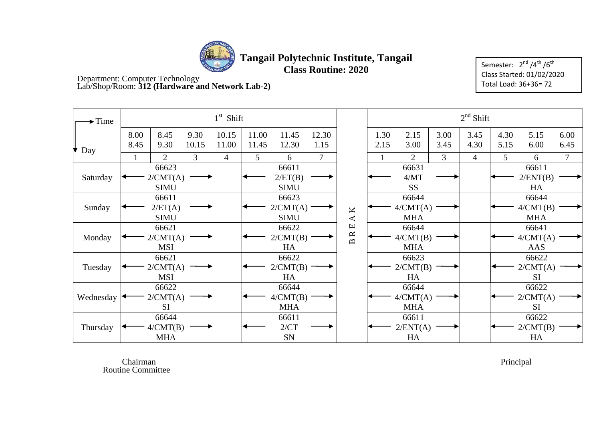

**Tangail Polytechnic Institute, Tangail**

**Class Routine: 2020** 

Semester:  $2<sup>nd</sup>/4<sup>th</sup>/6<sup>th</sup>$ Class Started: 01/02/2020 Total Load: 36+36= 72

Department: Computer Technology Lab/Shop/Room: **312 (Hardware and Network Lab-2)**

| $\blacktriangleright$ Time |              |                                  |                | $1st$ Shift    |                |                                  |               |                                                                         |              |                                 |              | $2nd$ Shift    |              |                                 |                |
|----------------------------|--------------|----------------------------------|----------------|----------------|----------------|----------------------------------|---------------|-------------------------------------------------------------------------|--------------|---------------------------------|--------------|----------------|--------------|---------------------------------|----------------|
| Day                        | 8.00<br>8.45 | 8.45<br>9.30                     | 9.30<br>10.15  | 10.15<br>11.00 | 11.00<br>11.45 | 11.45<br>12.30                   | 12.30<br>1.15 |                                                                         | 1.30<br>2.15 | 2.15<br>3.00                    | 3.00<br>3.45 | 3.45<br>4.30   | 4.30<br>5.15 | 5.15<br>6.00                    | 6.00<br>6.45   |
|                            |              | $\overline{2}$                   | $\mathfrak{Z}$ | $\overline{4}$ | 5              | 6                                | $\tau$        |                                                                         |              | $\overline{2}$                  | 3            | $\overline{4}$ | 5            | 6                               | $\overline{7}$ |
| Saturday                   |              | 66623<br>2/CMT(A)<br><b>SIMU</b> |                |                |                | 66611<br>2/ET(B)<br><b>SIMU</b>  |               |                                                                         |              | 66631<br>4/MT<br><b>SS</b>      |              |                |              | 66611<br>2/ENT(B)<br>HA         |                |
| Sunday                     |              | 66611<br>2/ET(A)<br><b>SIMU</b>  |                |                |                | 66623<br>2/CMT(A)<br><b>SIMU</b> |               | $\pmb{\times}$<br>$\blacktriangleleft$                                  |              | 66644<br>4/CMT(A)<br><b>MHA</b> |              |                |              | 66644<br>4/CMT(B)<br><b>MHA</b> |                |
| Monday                     |              | 66621<br>2/CMT(A)<br><b>MSI</b>  |                |                |                | 66622<br>2/CMT(B)<br>HA          |               | $\mathbf \Xi$<br>$\approx$<br>$\mathbf{\underline{\underline{\alpha}}}$ |              | 66644<br>4/CMT(B)<br><b>MHA</b> |              |                |              | 66641<br>4/CMT(A)<br>AAS        |                |
| Tuesday                    |              | 66621<br>2/CMT(A)<br><b>MSI</b>  |                |                |                | 66622<br>2/CMT(B)<br>HA          |               |                                                                         |              | 66623<br>2/CMT(B)<br>HA         |              |                |              | 66622<br>2/CMT(A)<br><b>SI</b>  |                |
| Wednesday                  |              | 66622<br>2/CMT(A)<br><b>SI</b>   |                |                |                | 66644<br>4/CMT(B)<br><b>MHA</b>  |               |                                                                         |              | 66644<br>4/CMT(A)<br><b>MHA</b> |              |                |              | 66622<br>2/CMT(A)<br><b>SI</b>  |                |
| Thursday                   |              | 66644<br>4/CMT(B)<br><b>MHA</b>  |                |                |                | 66611<br>2/CT<br>SN              |               |                                                                         |              | 66611<br>2/ENT(A)<br>HA         |              |                |              | 66622<br>2/CMT(B)<br>HA         |                |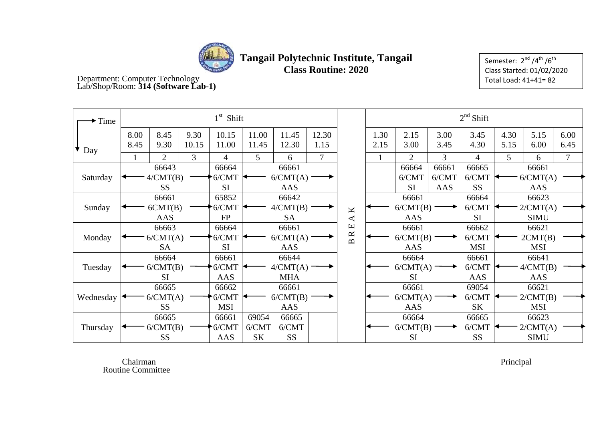

Semester:  $2<sup>nd</sup>/4<sup>th</sup>/6<sup>th</sup>$ Class Started: 01/02/2020 Total Load: 41+41= 82

Department: Computer Technology Lab/Shop/Room: **314 (Software Lab-1)**

| $\blacktriangleright$ Time |                                |                   |               | $1st$ Shift    |                |                |                                             |                         | $2nd$ Shift                   |                |              |                |              |              |                |  |
|----------------------------|--------------------------------|-------------------|---------------|----------------|----------------|----------------|---------------------------------------------|-------------------------|-------------------------------|----------------|--------------|----------------|--------------|--------------|----------------|--|
| Day                        | 8.00<br>8.45                   | 8.45<br>9.30      | 9.30<br>10.15 | 10.15<br>11.00 | 11.00<br>11.45 | 11.45<br>12.30 | 12.30<br>1.15                               |                         | 1.30<br>2.15                  | 2.15<br>3.00   | 3.00<br>3.45 | 3.45<br>4.30   | 4.30<br>5.15 | 5.15<br>6.00 | 6.00<br>6.45   |  |
|                            |                                | $\overline{2}$    | 3             | 4              | 5 <sup>5</sup> | 6              | 7                                           |                         |                               | $\overline{2}$ | 3            | $\overline{4}$ | 5            | 6            | $\overline{7}$ |  |
|                            | 66643<br>66664<br>66661        |                   |               |                |                |                |                                             | 66664<br>66661<br>66665 |                               |                |              |                | 66661        |              |                |  |
| Saturday                   |                                | 4/CMT(B)          |               | 6/CMT          |                | 6/CMT(A)       |                                             |                         |                               | 6/CMT          | 6/CMT        | 6/CMT          |              | 6/CMT(A)     |                |  |
|                            |                                | <b>SS</b>         |               | SI             |                | AAS            |                                             |                         | <b>SS</b><br><b>SI</b><br>AAS |                |              | AAS            |              |              |                |  |
|                            |                                | 66661             |               | 65852          |                | 66642          |                                             | 66661<br>66664          |                               |                |              |                |              | 66623        |                |  |
| Sunday                     |                                | 6CMT(B)           |               | 6/CMT          |                | 4/CMT(B)       |                                             | K                       |                               | 6/CMT(B)       |              | 6/CMT          | 2/CMT(A)     |              |                |  |
|                            | AAS<br><b>FP</b>               |                   |               |                |                | <b>SA</b>      |                                             | ⋖                       |                               | AAS            |              | SI             |              | <b>SIMU</b>  |                |  |
|                            |                                | 66663             |               | 66664          |                | 66661          |                                             | $\mathbf \Xi$           |                               | 66661          |              | 66662          | 66621        |              |                |  |
| Monday                     |                                | 6/CMT(A)          |               | 6/CMT          | 6/CMT(A)       |                | $\approx$<br>$\mathbf{\underline{\square}}$ |                         | 6/CMT(B)                      |                | 6/CMT        |                | 2CMT(B)      |              |                |  |
|                            |                                | <b>SA</b>         |               | SI             |                | AAS            |                                             |                         |                               | AAS            |              | <b>MSI</b>     |              | <b>MSI</b>   |                |  |
|                            |                                | 66664             |               | 66661          |                | 66644          |                                             |                         | 66664                         |                |              | 66661          | 66641        |              |                |  |
| Tuesday                    |                                | 6/CMT(B)          |               | 6/CMT          |                | 4/CMT(A)       |                                             |                         |                               | 6/CMT(A)       |              | 6/CMT          |              | 4/CMT(B)     |                |  |
|                            |                                | <b>SI</b>         |               | AAS            |                | <b>MHA</b>     |                                             |                         |                               | <b>SI</b>      |              | AAS            |              | AAS          |                |  |
|                            |                                | 66665             |               | 66662          |                | 66661          |                                             |                         |                               | 66661          |              | 69054          |              | 66621        |                |  |
| Wednesday                  |                                | 6/CMT(A)<br>6/CMT |               |                |                | 6/CMT(B)       |                                             |                         |                               | 6/CMT(A)       |              | 6/CMT          |              | 2/CMT(B)     |                |  |
|                            | <b>SS</b><br><b>MSI</b><br>AAS |                   |               |                |                |                |                                             | AAS                     |                               | <b>SK</b>      |              | <b>MSI</b>     |              |              |                |  |
|                            |                                | 66665             |               | 66661          | 69054          | 66665          |                                             |                         |                               | 66664          |              | 66665          |              | 66623        |                |  |
| Thursday                   |                                | 6/CMT(B)          |               | 6/CMT          | 6/CMT          | 6/CMT          |                                             |                         |                               | 6/CMT(B)       |              | 6/CMT          |              | 2/CMT(A)     |                |  |
|                            | <b>SS</b>                      |                   |               | AAS            | <b>SK</b>      | <b>SS</b>      |                                             |                         |                               | <b>SI</b>      |              | <b>SS</b>      |              | <b>SIMU</b>  |                |  |